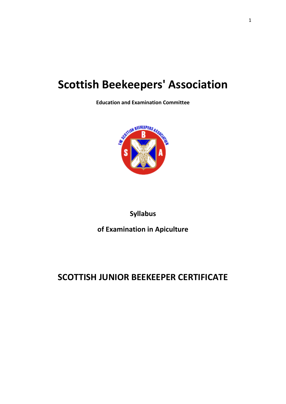# **Scottish Beekeepers' Association**

**Education and Examination Committee**



### **Syllabus**

**of Examination in Apiculture**

## **SCOTTISH JUNIOR BEEKEEPER CERTIFICATE**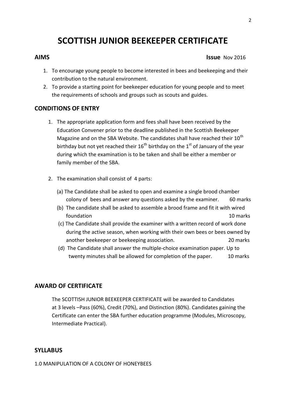### **SCOTTISH JUNIOR BEEKEEPER CERTIFICATE**

#### **AIMS** ISSUE Nov 2016

- 1. To encourage young people to become interested in bees and beekeeping and their contribution to the natural environment.
- 2. To provide a starting point for beekeeper education for young people and to meet the requirements of schools and groups such as scouts and guides.

#### **CONDITIONS OF ENTRY**

- 1. The appropriate application form and fees shall have been received by the Education Convener prior to the deadline published in the Scottish Beekeeper Magazine and on the SBA Website. The candidates shall have reached their  $10^{th}$ birthday but not yet reached their  $16^{th}$  birthday on the  $1<sup>st</sup>$  of January of the year during which the examination is to be taken and shall be either a member or family member of the SBA.
- 2. The examination shall consist of 4 parts:
	- (a) The Candidate shall be asked to open and examine a single brood chamber colony of bees and answer any questions asked by the examiner. 60 marks
	- (b) The candidate shall be asked to assemble a brood frame and fit it with wired foundation 10 marks
	- (c) The Candidate shall provide the examiner with a written record of work done during the active season, when working with their own bees or bees owned by another beekeeper or beekeeping association. 20 marks
	- (d) The Candidate shall answer the multiple-choice examination paper. Up to twenty minutes shall be allowed for completion of the paper. 10 marks

### **AWARD OF CERTIFICATE**

The SCOTTISH JUNIOR BEEKEEPER CERTIFICATE will be awarded to Candidates at 3 levels –Pass (60%), Credit (70%), and Distinction (80%). Candidates gaining the Certificate can enter the SBA further education programme (Modules, Microscopy, Intermediate Practical).

#### **SYLLABUS**

1.0 MANIPULATION OF A COLONY OF HONEYBEES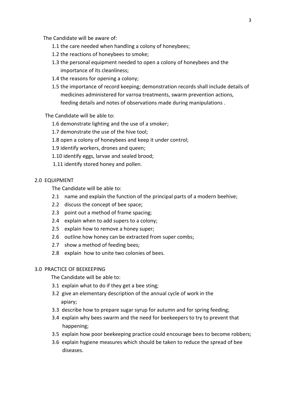The Candidate will be aware of:

- 1.1 the care needed when handling a colony of honeybees;
- 1.2 the reactions of honeybees to smoke;
- 1.3 the personal equipment needed to open a colony of honeybees and the importance of its cleanliness;
- 1.4 the reasons for opening a colony;
- 1.5 the importance of record keeping; demonstration records shall include details of medicines administered for varroa treatments, swarm prevention actions, feeding details and notes of observations made during manipulations .

#### The Candidate will be able to:

- 1.6 demonstrate lighting and the use of a smoker;
- 1.7 demonstrate the use of the hive tool;
- 1.8 open a colony of honeybees and keep it under control;
- 1.9 identify workers, drones and queen;
- 1.10 identify eggs, larvae and sealed brood;
- 1.11 identify stored honey and pollen.

#### 2.0 EQUIPMENT

The Candidate will be able to:

- 2.1 name and explain the function of the principal parts of a modern beehive;
- 2.2 discuss the concept of bee space;
- 2.3 point out a method of frame spacing;
- 2.4 explain when to add supers to a colony;
- 2.5 explain how to remove a honey super;
- 2.6 outline how honey can be extracted from super combs;
- 2.7 show a method of feeding bees;
- 2.8 explain how to unite two colonies of bees.

#### 3.0 PRACTICE OF BEEKEEPING

The Candidate will be able to:

- 3.1 explain what to do if they get a bee sting;
- 3.2 give an elementary description of the annual cycle of work in the apiary;
- 3.3 describe how to prepare sugar syrup for autumn and for spring feeding;
- 3.4 explain why bees swarm and the need for beekeepers to try to prevent that happening;
- 3.5 explain how poor beekeeping practice could encourage bees to become robbers;
- 3.6 explain hygiene measures which should be taken to reduce the spread of bee diseases.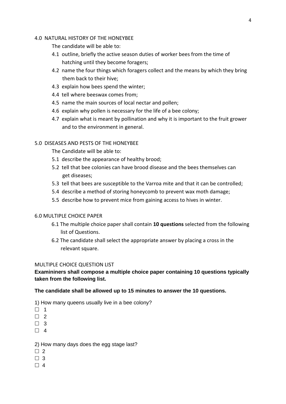#### 4.0 NATURAL HISTORY OF THE HONEYBEE

The candidate will be able to:

- 4.1 outline, briefly the active season duties of worker bees from the time of hatching until they become foragers;
- 4.2 name the four things which foragers collect and the means by which they bring them back to their hive;
- 4.3 explain how bees spend the winter;
- 4.4 tell where beeswax comes from;
- 4.5 name the main sources of local nectar and pollen;
- 4.6 explain why pollen is necessary for the life of a bee colony;
- 4.7 explain what is meant by pollination and why it is important to the fruit grower and to the environment in general.

#### 5.0 DISEASES AND PESTS OF THE HONEYBEE

The Candidate will be able to:

- 5.1 describe the appearance of healthy brood;
- 5.2 tell that bee colonies can have brood disease and the bees themselves can get diseases;
- 5.3 tell that bees are susceptible to the Varroa mite and that it can be controlled;
- 5.4 describe a method of storing honeycomb to prevent wax moth damage;
- 5.5 describe how to prevent mice from gaining access to hives in winter.

#### 6.0 MULTIPLE CHOICE PAPER

- 6.1 The multiple choice paper shall contain **10 questions** selected from the following list of Questions.
- 6.2 The candidate shall select the appropriate answer by placing a cross in the relevant square.

#### MULTIPLE CHOICE QUESTION LIST

**Examininers shall compose a multiple choice paper containing 10 questions typically taken from the following list.**

#### **The candidate shall be allowed up to 15 minutes to answer the 10 questions.**

1) How many queens usually live in a bee colony?

- $\Box$  1
- $\Box$  2
- $\Box$  3
- $\Box$  4

#### 2) How many days does the egg stage last?

- $\Box$  2
- $\Box$  3
- $\Box$  4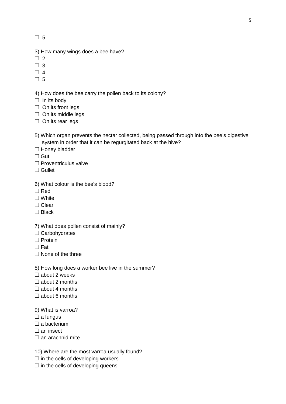$\square$  5

- 3) How many wings does a bee have?
- $\Box$  2
- $\Box$  3
- $\Box$  4
- $\Box$  5

4) How does the bee carry the pollen back to its colony?

- $\Box$  In its body
- $\Box$  On its front legs
- $\Box$  On its middle legs
- $\Box$  On its rear legs
- 5) Which organ prevents the nectar collected, being passed through into the bee's digestive system in order that it can be regurgitated back at the hive?
- $\Box$  Honey bladder
- $\Box$  Gut
- $\Box$  Proventriculus valve
- $\Box$  Gullet
- 6) What colour is the bee's blood?
- $\Box$  Red
- $\Box$  White
- $\Box$  Clear
- □ Black
- 7) What does pollen consist of mainly?
- $\Box$  Carbohydrates
- $\Box$  Protein
- $\Box$  Fat
- $\Box$  None of the three
- 8) How long does a worker bee live in the summer?
- $\Box$  about 2 weeks
- $\Box$  about 2 months
- $\Box$  about 4 months
- $\Box$  about 6 months
- 9) What is varroa?
- $\square$  a fungus
- $\Box$  a bacterium
- $\square$  an insect
- $\square$  an arachnid mite
- 10) Where are the most varroa usually found?
- $\Box$  in the cells of developing workers
- $\square$  in the cells of developing queens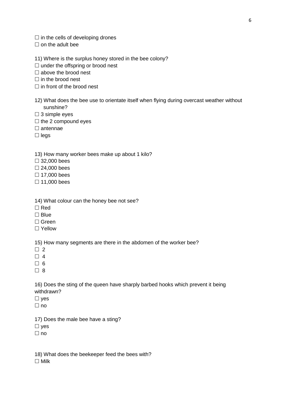$\Box$  in the cells of developing drones

 $\Box$  on the adult bee

11) Where is the surplus honey stored in the bee colony?

 $\Box$  under the offspring or brood nest

 $\square$  above the brood nest

 $\Box$  in the brood nest

- $\Box$  in front of the brood nest
- 12) What does the bee use to orientate itself when flying during overcast weather without sunshine?
- $\square$  3 simple eyes
- $\Box$  the 2 compound eyes
- $\Box$  antennae
- $\Box$  legs

13) How many worker bees make up about 1 kilo?

32,000 bees

 $\square$  24,000 bees

 $\Box$  17,000 bees

 $\Box$  11,000 bees

- 14) What colour can the honey bee not see?
- $\Box$  Red
- $\Box$  Blue
- Green
- □ Yellow

15) How many segments are there in the abdomen of the worker bee?

- $\Box$  2
- $\Box$  4

 $\Box$  6

 $\Box$  8

16) Does the sting of the queen have sharply barbed hooks which prevent it being withdrawn?

- $\square$  yes
- $\Box$  no

17) Does the male bee have a sting?

 $\square$  yes

 $\Box$  no

18) What does the beekeeper feed the bees with?  $\Box$  Milk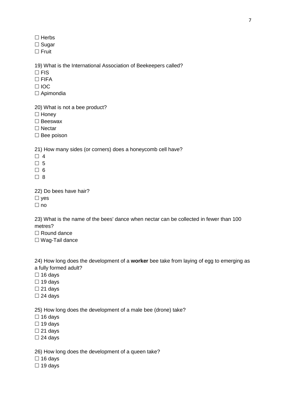$\Box$  Herbs

 $\square$  Sugar

 $\Box$  Fruit

19) What is the International Association of Beekeepers called?

 $\square$  FIS

 $\Box$  FIFA

□ IOC

□ Apimondia

20) What is not a bee product?

 $\Box$  Honey

□ Beeswax

□ Nectar

 $\square$  Bee poison

21) How many sides (or corners) does a honeycomb cell have?

 $\Box$  4

 $\Box$  5

 $\Box$  6

 $\Box$  8

22) Do bees have hair?

 $\square$  yes

 $\Box$  no

23) What is the name of the bees' dance when nectar can be collected in fewer than 100 metres?

□ Round dance

□ Wag-Tail dance

24) How long does the development of a **worker** bee take from laying of egg to emerging as a fully formed adult?

 $\square$  16 days

 $\Box$  19 days

 $\square$  21 days

 $\square$  24 days

25) How long does the development of a male bee (drone) take?

 $\Box$  16 days

 $\Box$  19 days

 $\square$  21 days

 $\square$  24 days

26) How long does the development of a queen take?

 $\Box$  16 days

 $\Box$  19 days